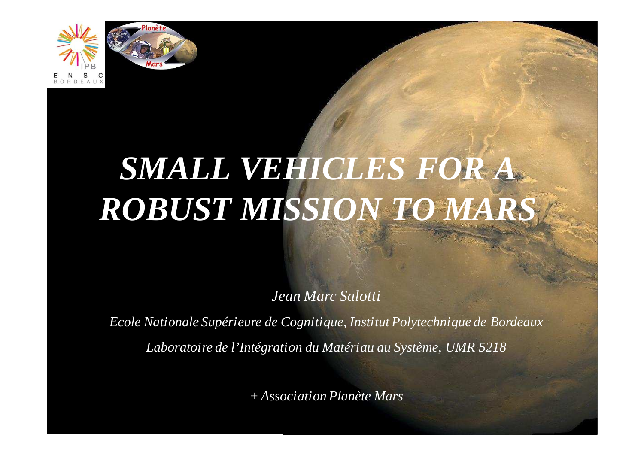



# *SMALL VEHICLES FOR A ROBUST MISSION TO MARS*

*Jean Marc Salotti*

*Ecole Nationale Supérieure de Cognitique, Institut Polytechnique de BordeauxLaboratoire de l'Intégration du Matériau au Système, UMR 5218*

*+ Association Planète Mars*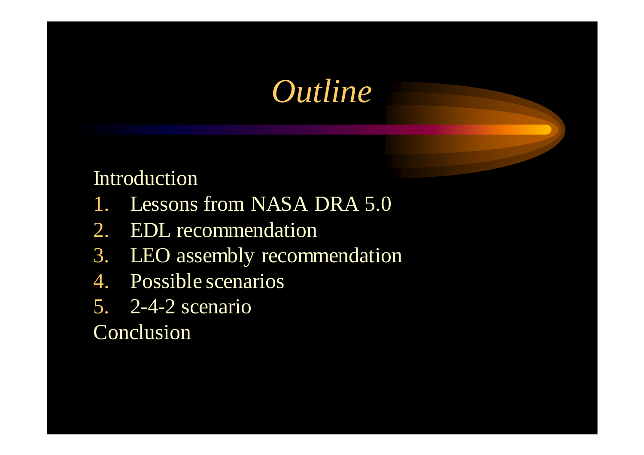## *Outline*

#### Introduction

- 1. Lessons from NASA DRA 5.0
- 2. EDL recommendation
- 3. LEO assembly recommendation
- 4. Possible scenarios
- 5. 2-4-2 scenario

#### **Conclusion**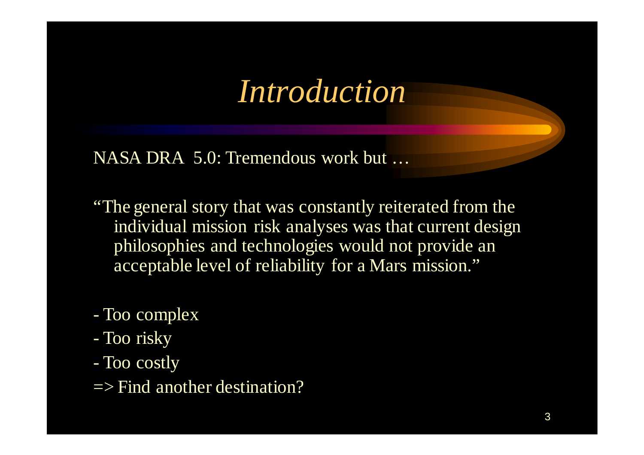#### *Introduction*

NASA DRA 5.0: Tremendous work but …

"The general story that was constantly reiterated from the individual mission risk analyses was that current design philosophies and technologies would not provide an acceptable level of reliability for a Mars mission."

- Too complex
- Too risky
- Too costly
- $\Rightarrow$  Find another destination?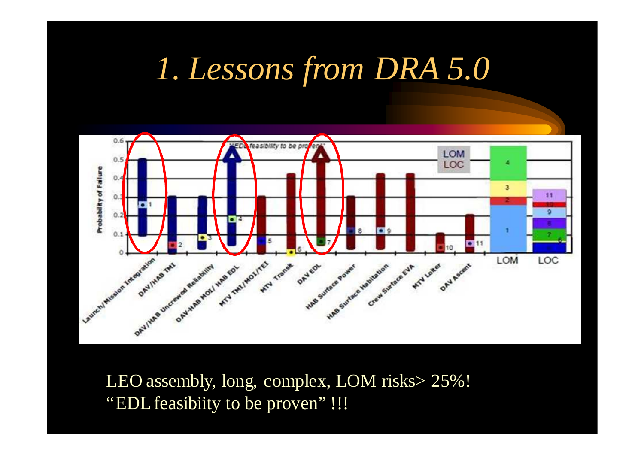#### *1. Lessons from DRA 5.0*



LEO assembly, long, complex, LOM risks> 25%! "EDL feasibiity to be proven" !!!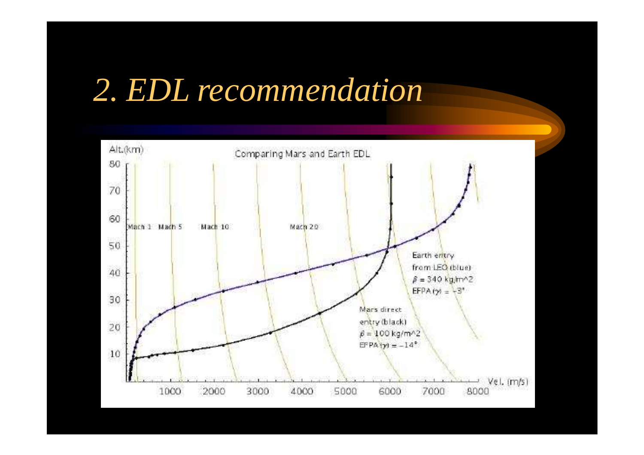## *2. EDL recommendation*

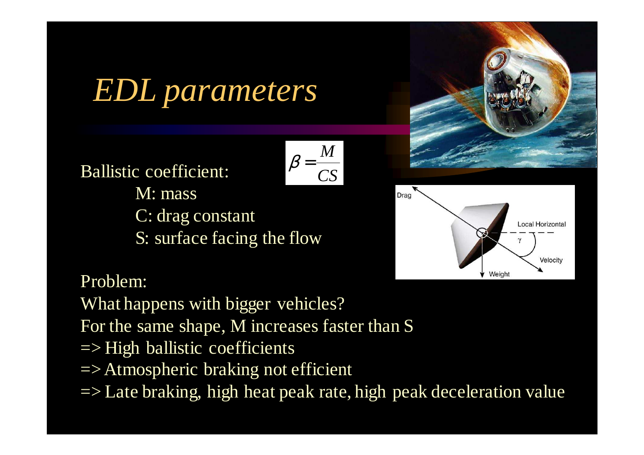## *EDL parameters*

$$
\beta = \frac{M}{CS}
$$

Ballistic coefficient:M: massC: drag constant

S: surface facing the flow





Problem:

What happens with bigger vehicles? For the same shape, M increases faster than S $\Rightarrow$  High ballistic coefficients

- => Atmospheric braking not efficient
- => Late braking, high heat peak rate, high peak deceleration value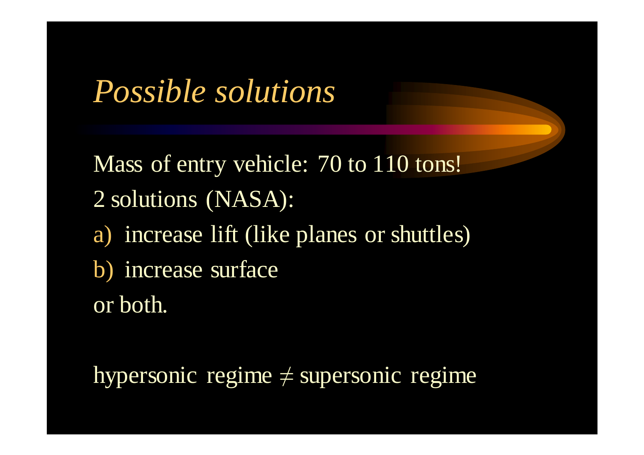*Possible solutions*

Mass of entry vehicle: 70 to 110 tons! 2 solutions (NASA):a) increase lift (like planes or shuttles) b) increase surfaceor both.

hypersonic regime ≠ supersonic regime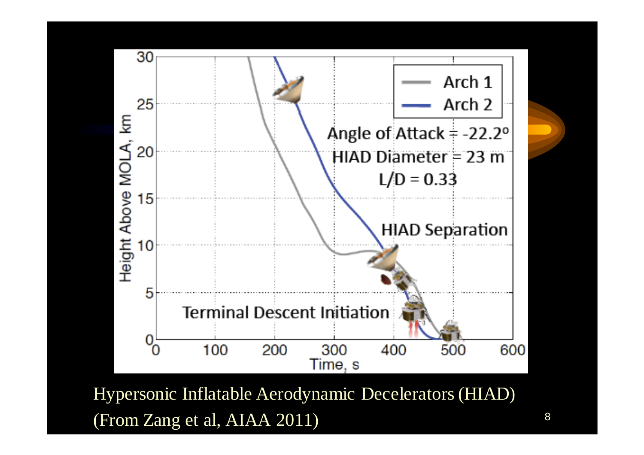

Hypersonic Inflatable Aerodynamic Decelerators (HIAD)(From Zang et al, AIAA 2011)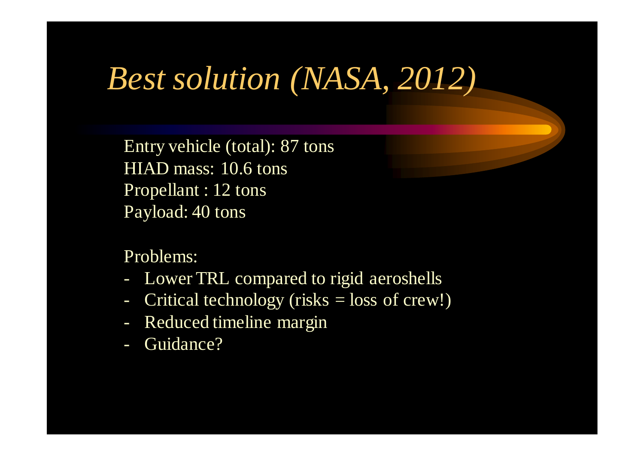#### *Best solution (NASA, 2012)*

Entry vehicle (total): 87 tonsHIAD mass: 10.6 tonsPropellant : 12 tonsPayload: 40 tons

Problems:

- Lower TRL compared to rigid aeroshells
- Critical technology (risks = loss of crew!)
- Reduced timeline margin
- Guidance?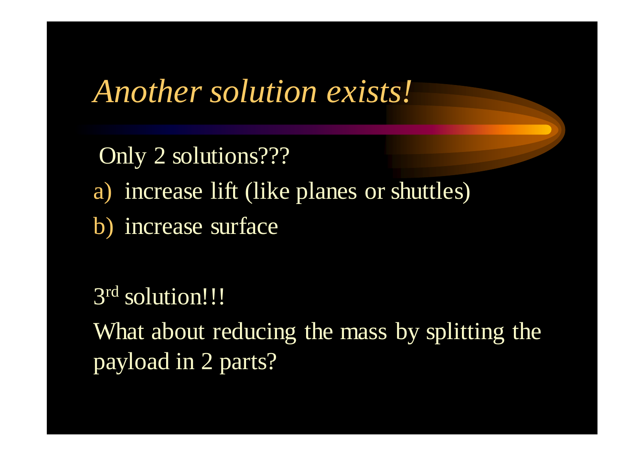*Another solution exists!*

Only 2 solutions???a) increase lift (like planes or shuttles) b) increase surface

3<sup>rd</sup> solution!!! What about reducing the mass by splitting the payload in 2 parts?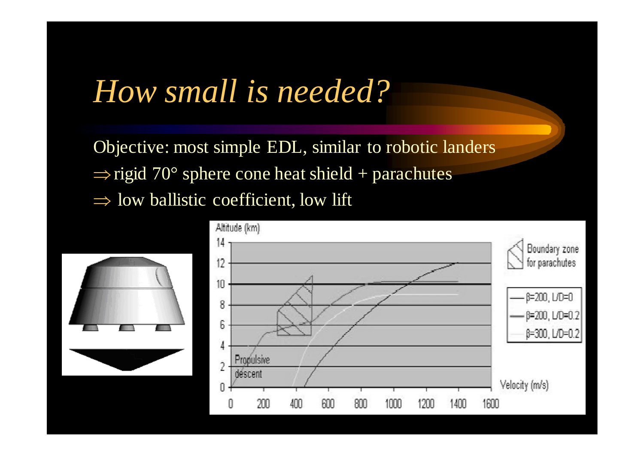# *How small is needed?*

Objective: most simple EDL, similar to robotic landers $\Rightarrow$  rigid 70° sphere cone heat shield + parachutes ⇒ low ballistic coefficient, low lift

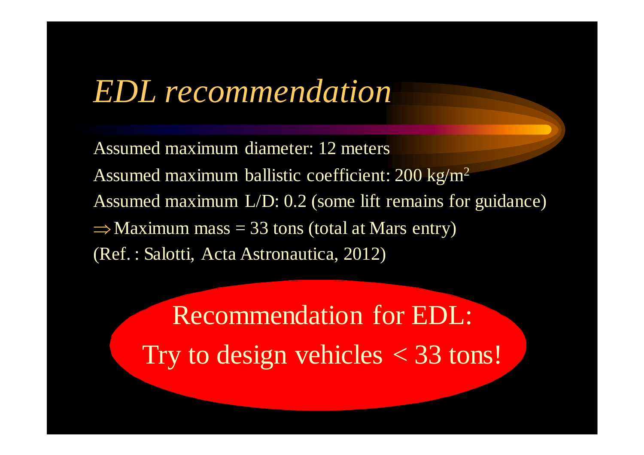#### *EDL recommendation*

Assumed maximum diameter: 12 metersAssumed maximum ballistic coefficient: 200 kg/m<sup>2</sup> Assumed maximum L/D: 0.2 (some lift remains for guidance) $\Rightarrow$  Maximum mass = 33 tons (total at Mars entry) (Ref. : Salotti, Acta Astronautica, 2012)

Recommendation for EDL:Try to design vehicles  $<$  33 tons!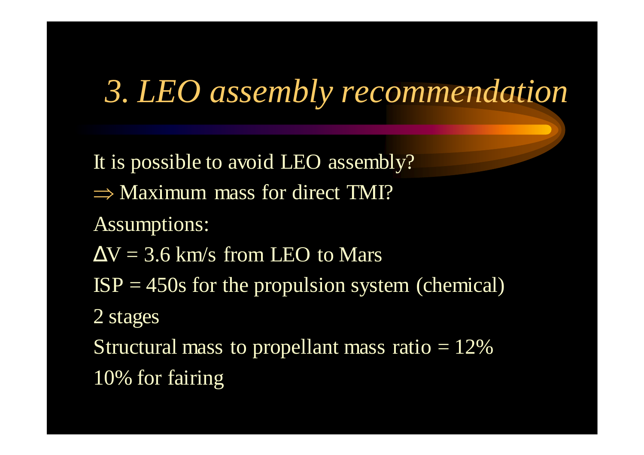### *3. LEO assembly recommendation*

It is possible to avoid LEO assembly?⇒ Maximum mass for direct TMI? Assumptions: $\Delta V = 3.6$  km/s from LEO to Mars  $ISP = 450s$  for the propulsion system (chemical) 2 stagesStructural mass to propellant mass ratio  $= 12\%$ 10% for fairing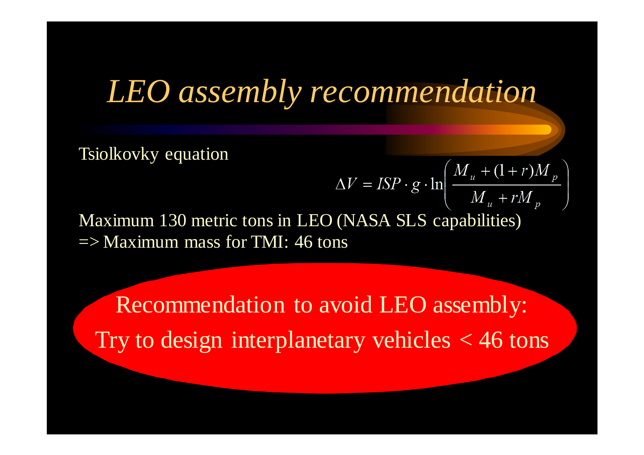#### *LEO assembly recommendation*

 $\Delta V = ISP \cdot g \cdot \ln \left( \frac{M_u + (1+r)M_p}{M_u + rM_p} \right)$ 

Tsiolkovky equation

Maximum 130 metric tons in LEO (NASA SLS capabilities) $\Rightarrow$  Maximum mass for TMI: 46 tons

Recommendation to avoid LEO assembly:Try to design interplanetary vehicles  $<$  46 tons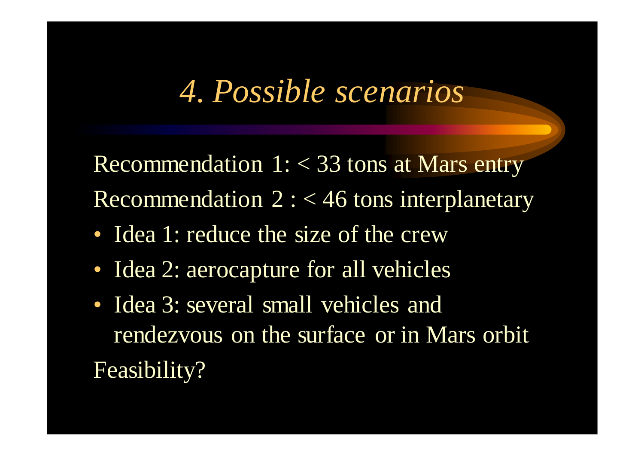### *4. Possible scenarios*

Recommendation  $1: < 33$  tons at Mars entry Recommendation 2 : < 46 tons interplanetary

- Idea 1: reduce the size of the crew
- Idea 2: aerocapture for all vehicles
- Idea 3: several small vehicles and rendezvous on the surface or in Mars orbitFeasibility?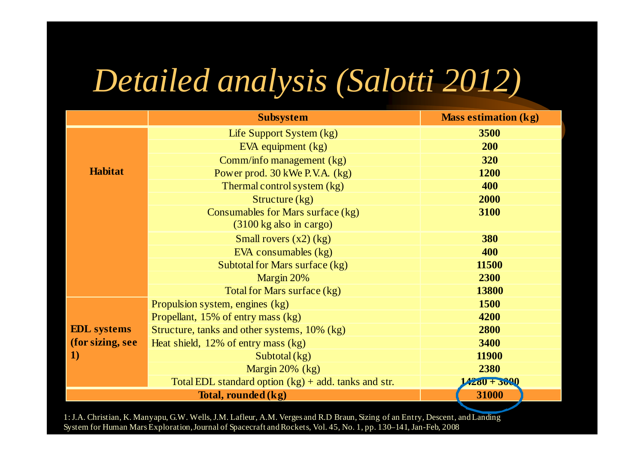# *Detailed analysis (Salotti 2012)*

|                    | <b>Subsystem</b>                                       | <b>Mass estimation (kg)</b> |
|--------------------|--------------------------------------------------------|-----------------------------|
|                    | Life Support System (kg)                               | 3500                        |
|                    | EVA equipment (kg)                                     | 200                         |
|                    | Comm/info management (kg)                              | 320                         |
| <b>Habitat</b>     | Power prod. 30 kWe P.V.A. (kg)                         | 1200                        |
|                    | Thermal control system (kg)                            | 400                         |
|                    | Structure $(kg)$                                       | 2000                        |
|                    | Consumables for Mars surface (kg)                      | 3100                        |
|                    | $(3100 \text{ kg also in cargo})$                      |                             |
|                    | Small rovers $(x2)$ (kg)                               | 380                         |
|                    | EVA consumables (kg)                                   | 400                         |
|                    | Subtotal for Mars surface (kg)                         | 11500                       |
|                    | Margin 20%                                             | 2300                        |
|                    | Total for Mars surface (kg)                            | 13800                       |
|                    | Propulsion system, engines (kg)                        | 1500                        |
|                    | Propellant, 15% of entry mass (kg)                     | 4200                        |
| <b>EDL</b> systems | Structure, tanks and other systems, 10% (kg)           | 2800                        |
| (for sizing, see   | Heat shield, $12\%$ of entry mass $(kg)$               | 3400                        |
| 1)                 | Subtotal $(kg)$                                        | 11900                       |
|                    | Margin 20% (kg)                                        | 2380                        |
|                    | Total EDL standard option $(kg)$ + add. tanks and str. | $4280 + 3000$               |
|                    | 31000                                                  |                             |

1: J.A. Christian, K. Manyapu, G.W. Wells, J.M. Lafleur, A.M. Verges and R.D Braun, Sizing of an Entry, Descent, and Landing System for Human Mars Exploration, Journal of Spacecraft and Rockets, Vol. 45, No. 1, pp. 130–141, Jan-Feb, 2008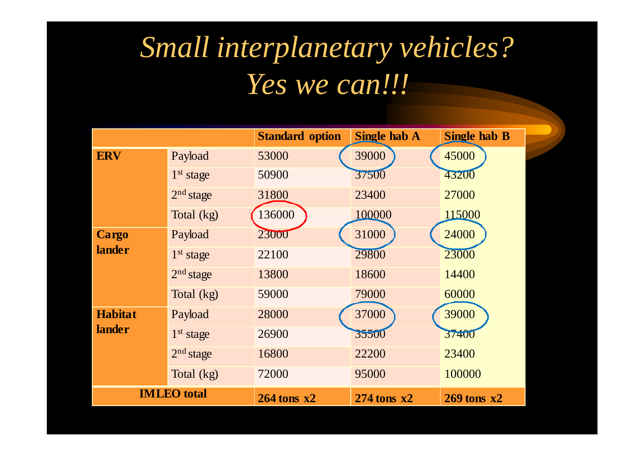### *Small interplanetary vehicles?Yes we can!!!*

|                |                       | <b>Standard option</b> | <b>Single hab A</b> | <b>Single hab B</b> |
|----------------|-----------------------|------------------------|---------------------|---------------------|
| <b>ERV</b>     | Payload               | 53000                  | 39000               | 45000               |
|                | 1 <sup>st</sup> stage | 50900                  | 37500               | 43200               |
|                | 2 <sup>nd</sup> stage | 31800                  | 23400               | 27000               |
|                | Total (kg)            | 136000                 | 100000              | 115000              |
| <b>Cargo</b>   | Payload               | 23000                  | 31000               | 24000               |
| <b>lander</b>  | 1 <sup>st</sup> stage | 22100                  | 29800               | 23000               |
|                | 2 <sup>nd</sup> stage | 13800                  | 18600               | 14400               |
|                | Total (kg)            | 59000                  | 79000               | 60000               |
| <b>Habitat</b> | Payload               | 28000                  | 37000               | 39000               |
| <b>lander</b>  | 1 <sup>st</sup> stage | 26900                  | 35500               | 37400               |
|                | 2 <sup>nd</sup> stage | 16800                  | 22200               | 23400               |
|                | Total (kg)            | 72000                  | 95000               | 100000              |
|                | <b>IMLEO</b> total    | $264$ tons $x2$        | $274$ tons $x2$     | $269$ tons $x2$     |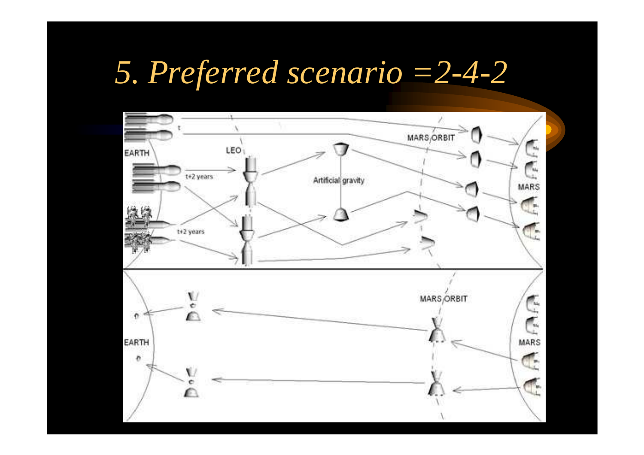# *5. Preferred scenario =2-4-2*

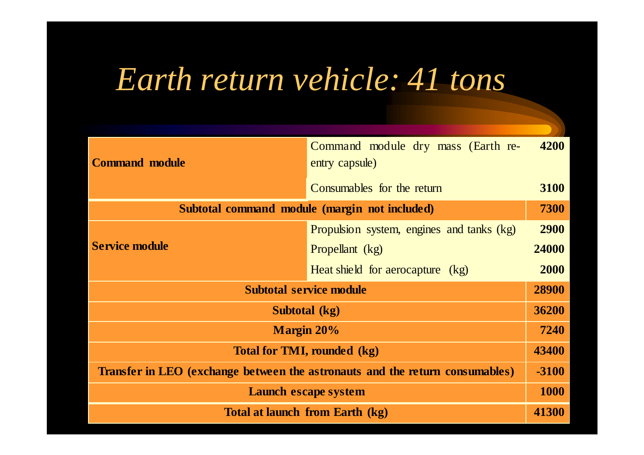# *Earth return vehicle: 41 tons*

| <b>Command module</b>                                                        | Command module dry mass (Earth re-<br>entry capsule) | 4200  |
|------------------------------------------------------------------------------|------------------------------------------------------|-------|
|                                                                              | Consumables for the return                           | 3100  |
| Subtotal command module (margin not included)                                |                                                      |       |
|                                                                              | Propulsion system, engines and tanks (kg)            | 2900  |
| <b>Service module</b>                                                        | Propellant (kg)                                      | 24000 |
|                                                                              | Heat shield for aerocapture (kg)                     | 2000  |
| <b>Subtotal service module</b>                                               |                                                      | 28900 |
| Subtotal (kg)                                                                |                                                      | 36200 |
| <b>Margin 20%</b>                                                            |                                                      | 7240  |
| <b>Total for TMI, rounded (kg)</b>                                           |                                                      | 43400 |
| Transfer in LEO (exchange between the astronauts and the return consumables) |                                                      | -3100 |
| Launch escape system                                                         |                                                      |       |
| Total at launch from Earth (kg)                                              |                                                      | 41300 |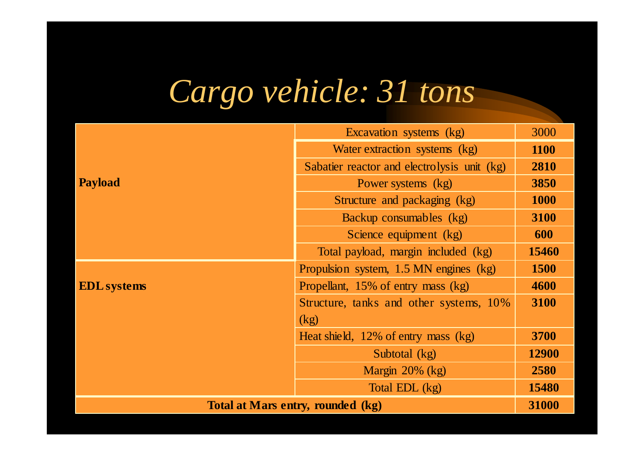# *Cargo vehicle: 31 tons*

|                                   | Excavation systems (kg)                     | 3000        |
|-----------------------------------|---------------------------------------------|-------------|
|                                   | Water extraction systems (kg)               | 1100        |
|                                   | Sabatier reactor and electrolysis unit (kg) | 2810        |
| <b>Payload</b>                    | Power systems (kg)                          | 3850        |
|                                   | Structure and packaging (kg)                | <b>1000</b> |
|                                   | Backup consumables (kg)                     | 3100        |
|                                   | Science equipment (kg)                      | 600         |
|                                   | Total payload, margin included (kg)         | 15460       |
|                                   | Propulsion system, 1.5 MN engines (kg)      | 1500        |
| <b>EDL</b> systems                | Propellant, 15% of entry mass (kg)          | 4600        |
|                                   | Structure, tanks and other systems, 10%     | 3100        |
|                                   | (kg)                                        |             |
|                                   | Heat shield, $12\%$ of entry mass $(kg)$    | 3700        |
|                                   | Subtotal (kg)                               | 12900       |
|                                   | Margin $20\%$ (kg)                          | 2580        |
|                                   | Total EDL (kg)                              | 15480       |
| Total at Mars entry, rounded (kg) |                                             |             |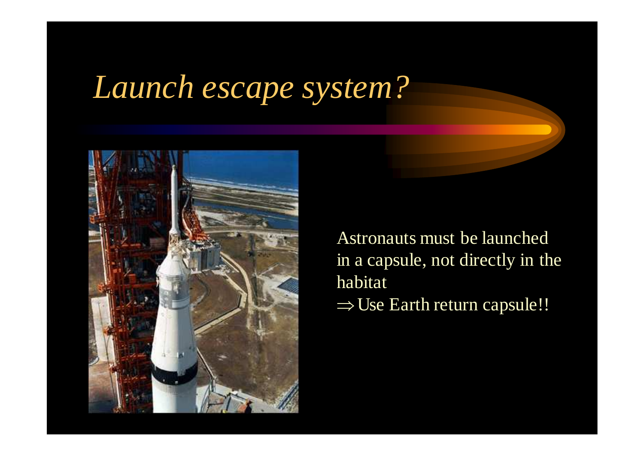### *Launch escape system?*



Astronauts must be launched in a capsule, not directly in the habitat<sup>⇒</sup>Use Earth return capsule!!